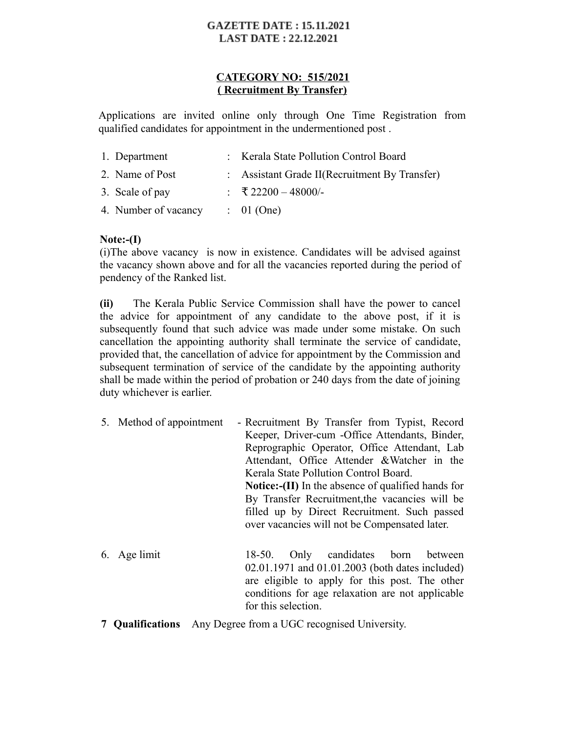# **GAZETTE DATE: 15.11.2021 LAST DATE: 22.12.2021**

# **CATEGORY NO: 515/2021 ( Recruitment By Transfer)**

Applications are invited online only through One Time Registration from qualified candidates for appointment in the undermentioned post .

| 1. Department        | : Kerala State Pollution Control Board        |
|----------------------|-----------------------------------------------|
| 2. Name of Post      | : Assistant Grade II(Recruitment By Transfer) |
| 3. Scale of pay      | : ₹22200 - 48000/-                            |
| 4. Number of vacancy | $\therefore$ 01 (One)                         |

# **Note:-(I)**

(i)The above vacancy is now in existence. Candidates will be advised against the vacancy shown above and for all the vacancies reported during the period of pendency of the Ranked list.

**(ii)** The Kerala Public Service Commission shall have the power to cancel the advice for appointment of any candidate to the above post, if it is subsequently found that such advice was made under some mistake. On such cancellation the appointing authority shall terminate the service of candidate, provided that, the cancellation of advice for appointment by the Commission and subsequent termination of service of the candidate by the appointing authority shall be made within the period of probation or 240 days from the date of joining duty whichever is earlier.

5. Method of appointment - Recruitment By Transfer from Typist, Record Keeper, Driver-cum -Office Attendants, Binder, Reprographic Operator, Office Attendant, Lab Attendant, Office Attender &Watcher in the Kerala State Pollution Control Board. **Notice:-(II)** In the absence of qualified hands for By Transfer Recruitment, the vacancies will be filled up by Direct Recruitment. Such passed over vacancies will not be Compensated later.

- 6. Age limit 18-50. Only candidates born between 02.01.1971 and 01.01.2003 (both dates included) are eligible to apply for this post. The other conditions for age relaxation are not applicable for this selection.
- **7 Qualifications** Any Degree from a UGC recognised University.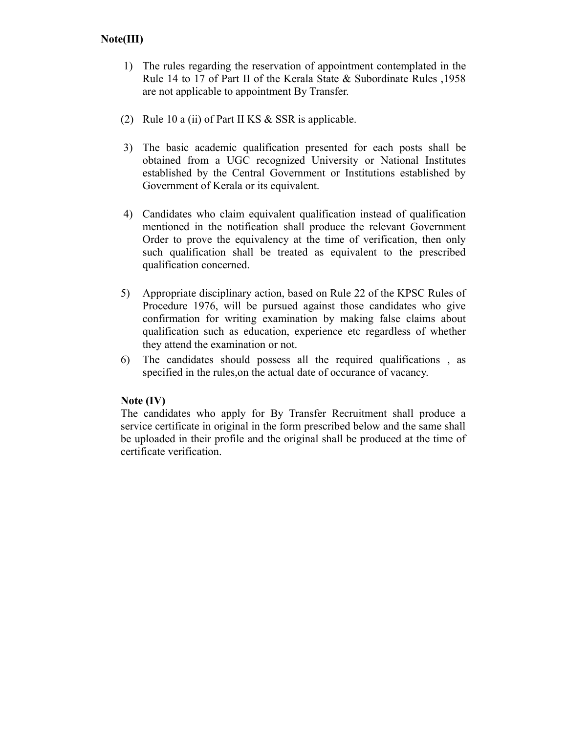# **Note(III)**

- 1) The rules regarding the reservation of appointment contemplated in the Rule 14 to 17 of Part II of the Kerala State & Subordinate Rules ,1958 are not applicable to appointment By Transfer.
- (2) Rule 10 a (ii) of Part II KS & SSR is applicable.
- 3) The basic academic qualification presented for each posts shall be obtained from a UGC recognized University or National Institutes established by the Central Government or Institutions established by Government of Kerala or its equivalent.
- 4) Candidates who claim equivalent qualification instead of qualification mentioned in the notification shall produce the relevant Government Order to prove the equivalency at the time of verification, then only such qualification shall be treated as equivalent to the prescribed qualification concerned.
- 5) Appropriate disciplinary action, based on Rule 22 of the KPSC Rules of Procedure 1976, will be pursued against those candidates who give confirmation for writing examination by making false claims about qualification such as education, experience etc regardless of whether they attend the examination or not.
- 6) The candidates should possess all the required qualifications , as specified in the rules,on the actual date of occurance of vacancy.

## **Note (IV)**

The candidates who apply for By Transfer Recruitment shall produce a service certificate in original in the form prescribed below and the same shall be uploaded in their profile and the original shall be produced at the time of certificate verification.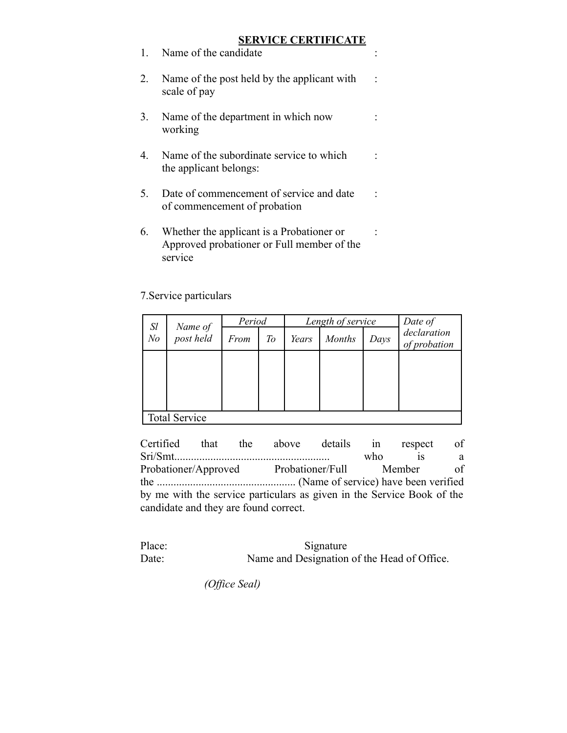# **SERVICE CERTIFICATE**

| $\mathbf{1}$ | Name of the candidate                                                                   |  |
|--------------|-----------------------------------------------------------------------------------------|--|
| 2.           | Name of the post held by the applicant with<br>scale of pay                             |  |
| 3.           | Name of the department in which now<br>working                                          |  |
| 4.           | Name of the subordinate service to which<br>the applicant belongs:                      |  |
| 5.           | Date of commencement of service and date<br>of commencement of probation                |  |
| 6.           | Whether the applicant is a Probationer or<br>Approved probationer or Full member of the |  |

## 7.Service particulars

service

| $S_l$                | Name of<br>post held | Period |    |       | Length of service | Date of |                             |  |
|----------------------|----------------------|--------|----|-------|-------------------|---------|-----------------------------|--|
| N <sub>o</sub>       |                      | From   | To | Years | <b>Months</b>     | Days    | declaration<br>of probation |  |
|                      |                      |        |    |       |                   |         |                             |  |
|                      |                      |        |    |       |                   |         |                             |  |
|                      |                      |        |    |       |                   |         |                             |  |
| <b>Total Service</b> |                      |        |    |       |                   |         |                             |  |

Certified that the above details in respect of Sri/Smt........................................................ who is a Probationer/Approved Probationer/Full Member of the .................................................. (Name of service) have been verified by me with the service particulars as given in the Service Book of the candidate and they are found correct.

Place: Signature Date: Name and Designation of the Head of Office.

 *(Office Seal)*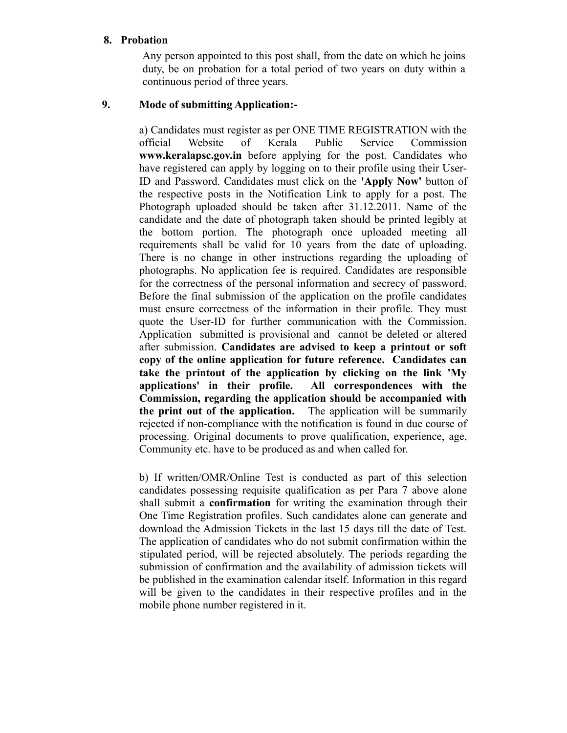#### **8. Probation**

Any person appointed to this post shall, from the date on which he joins duty, be on probation for a total period of two years on duty within a continuous period of three years.

## **9. Mode of submitting Application:-**

a) Candidates must register as per ONE TIME REGISTRATION with the official Website of Kerala Public Service Commission **www.keralapsc.gov.in** before applying for the post. Candidates who have registered can apply by logging on to their profile using their User-ID and Password. Candidates must click on the **'Apply Now'** button of the respective posts in the Notification Link to apply for a post. The Photograph uploaded should be taken after 31.12.2011. Name of the candidate and the date of photograph taken should be printed legibly at the bottom portion. The photograph once uploaded meeting all requirements shall be valid for 10 years from the date of uploading. There is no change in other instructions regarding the uploading of photographs. No application fee is required. Candidates are responsible for the correctness of the personal information and secrecy of password. Before the final submission of the application on the profile candidates must ensure correctness of the information in their profile. They must quote the User-ID for further communication with the Commission. Application submitted is provisional and cannot be deleted or altered after submission. **Candidates are advised to keep a printout or soft copy of the online application for future reference. Candidates can take the printout of the application by clicking on the link 'My applications' in their profile. All correspondences with the Commission, regarding the application should be accompanied with the print out of the application.** The application will be summarily rejected if non-compliance with the notification is found in due course of processing. Original documents to prove qualification, experience, age, Community etc. have to be produced as and when called for.

b) If written/OMR/Online Test is conducted as part of this selection candidates possessing requisite qualification as per Para 7 above alone shall submit a **confirmation** for writing the examination through their One Time Registration profiles. Such candidates alone can generate and download the Admission Tickets in the last 15 days till the date of Test. The application of candidates who do not submit confirmation within the stipulated period, will be rejected absolutely. The periods regarding the submission of confirmation and the availability of admission tickets will be published in the examination calendar itself. Information in this regard will be given to the candidates in their respective profiles and in the mobile phone number registered in it.